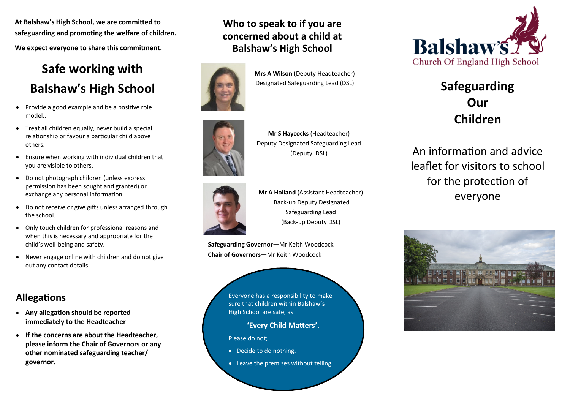**At Balshaw's High School, we are committed to safeguarding and promoting the welfare of children. We expect everyone to share this commitment.**

# **Safe working with Balshaw's High School**

- Provide a good example and be a positive role model..
- Treat all children equally, never build a special relationship or favour a particular child above others.
- Ensure when working with individual children that you are visible to others.
- Do not photograph children (unless express permission has been sought and granted) or exchange any personal information.
- Do not receive or give gifts unless arranged through the school.
- Only touch children for professional reasons and when this is necessary and appropriate for the child's well-being and safety.
- Never engage online with children and do not give out any contact details.

# **Allegations**

- **Any allegation should be reported immediately to the Headteacher**
- **If the concerns are about the Headteacher, please inform the Chair of Governors or any other nominated safeguarding teacher/ governor.**

# **Who to speak to if you are concerned about a child at Balshaw's High School**



**Mrs A Wilson** (Deputy Headteacher) Designated Safeguarding Lead (DSL)



**Mr S Haycocks** (Headteacher) Deputy Designated Safeguarding Lead (Deputy DSL)



**Mr A Holland** (Assistant Headteacher) Back-up Deputy Designated Safeguarding Lead (Back-up Deputy DSL)

**Safeguarding Governor—**Mr Keith Woodcock **Chair of Governors—**Mr Keith Woodcock

> Everyone has a responsibility to make sure that children within Balshaw's High School are safe, as

> > **'Every Child Matters'.**

Please do not;

- Decide to do nothing.
- Leave the premises without telling



# **Safeguarding Our Children**

An information and advice leaflet for visitors to school for the protection of everyone